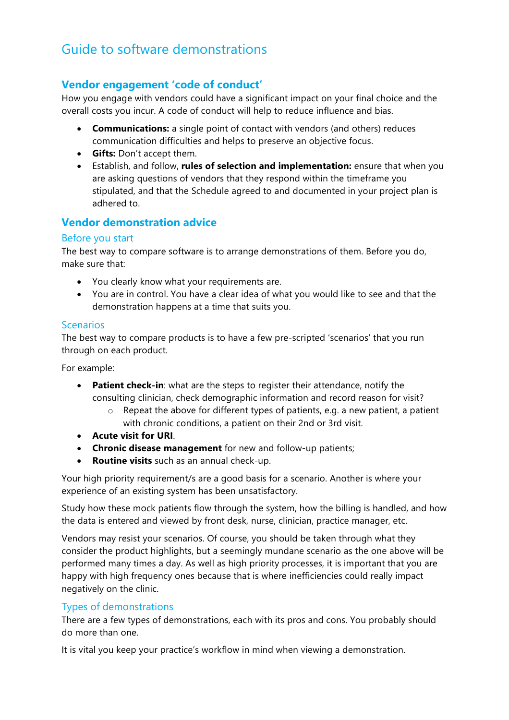# Guide to software demonstrations

## **Vendor engagement 'code of conduct'**

How you engage with vendors could have a significant impact on your final choice and the overall costs you incur. A code of conduct will help to reduce influence and bias.

- **Communications:** a single point of contact with vendors (and others) reduces communication difficulties and helps to preserve an objective focus.
- **Gifts:** Don't accept them.
- Establish, and follow, **rules of selection and implementation:** ensure that when you are asking questions of vendors that they respond within the timeframe you stipulated, and that the Schedule agreed to and documented in your project plan is adhered to.

## **Vendor demonstration advice**

#### Before you start

The best way to compare software is to arrange demonstrations of them. Before you do, make sure that:

- You clearly know what your requirements are.
- You are in control. You have a clear idea of what you would like to see and that the demonstration happens at a time that suits you.

#### Scenarios

The best way to compare products is to have a few pre-scripted 'scenarios' that you run through on each product.

For example:

- **Patient check-in**: what are the steps to register their attendance, notify the consulting clinician, check demographic information and record reason for visit?
	- o Repeat the above for different types of patients, e.g. a new patient, a patient with chronic conditions, a patient on their 2nd or 3rd visit.
- **Acute visit for URI**.
- **Chronic disease management** for new and follow-up patients;
- **Routine visits** such as an annual check-up.

Your high priority requirement/s are a good basis for a scenario. Another is where your experience of an existing system has been unsatisfactory.

Study how these mock patients flow through the system, how the billing is handled, and how the data is entered and viewed by front desk, nurse, clinician, practice manager, etc.

Vendors may resist your scenarios. Of course, you should be taken through what they consider the product highlights, but a seemingly mundane scenario as the one above will be performed many times a day. As well as high priority processes, it is important that you are happy with high frequency ones because that is where inefficiencies could really impact negatively on the clinic.

### Types of demonstrations

There are a few types of demonstrations, each with its pros and cons. You probably should do more than one.

It is vital you keep your practice's workflow in mind when viewing a demonstration.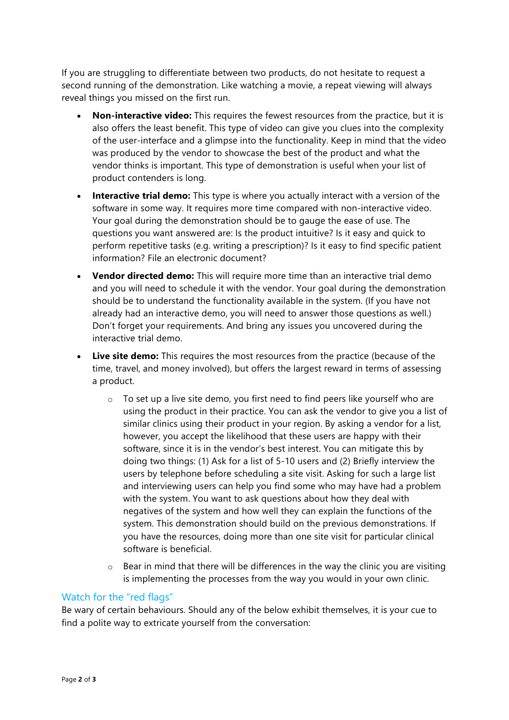If you are struggling to differentiate between two products, do not hesitate to request a second running of the demonstration. Like watching a movie, a repeat viewing will always reveal things you missed on the first run.

- **Non-interactive video:** This requires the fewest resources from the practice, but it is also offers the least benefit. This type of video can give you clues into the complexity of the user-interface and a glimpse into the functionality. Keep in mind that the video was produced by the vendor to showcase the best of the product and what the vendor thinks is important. This type of demonstration is useful when your list of product contenders is long.
- **Interactive trial demo:** This type is where you actually interact with a version of the software in some way. It requires more time compared with non-interactive video. Your goal during the demonstration should be to gauge the ease of use. The questions you want answered are: Is the product intuitive? Is it easy and quick to perform repetitive tasks (e.g. writing a prescription)? Is it easy to find specific patient information? File an electronic document?
- **Vendor directed demo:** This will require more time than an interactive trial demo and you will need to schedule it with the vendor. Your goal during the demonstration should be to understand the functionality available in the system. (If you have not already had an interactive demo, you will need to answer those questions as well.) Don't forget your requirements. And bring any issues you uncovered during the interactive trial demo.
- **Live site demo:** This requires the most resources from the practice (because of the time, travel, and money involved), but offers the largest reward in terms of assessing a product.
	- o To set up a live site demo, you first need to find peers like yourself who are using the product in their practice. You can ask the vendor to give you a list of similar clinics using their product in your region. By asking a vendor for a list, however, you accept the likelihood that these users are happy with their software, since it is in the vendor's best interest. You can mitigate this by doing two things: (1) Ask for a list of 5-10 users and (2) Briefly interview the users by telephone before scheduling a site visit. Asking for such a large list and interviewing users can help you find some who may have had a problem with the system. You want to ask questions about how they deal with negatives of the system and how well they can explain the functions of the system. This demonstration should build on the previous demonstrations. If you have the resources, doing more than one site visit for particular clinical software is beneficial.
	- $\circ$  Bear in mind that there will be differences in the way the clinic you are visiting is implementing the processes from the way you would in your own clinic.

#### Watch for the "red flags"

Be wary of certain behaviours. Should any of the below exhibit themselves, it is your cue to find a polite way to extricate yourself from the conversation: